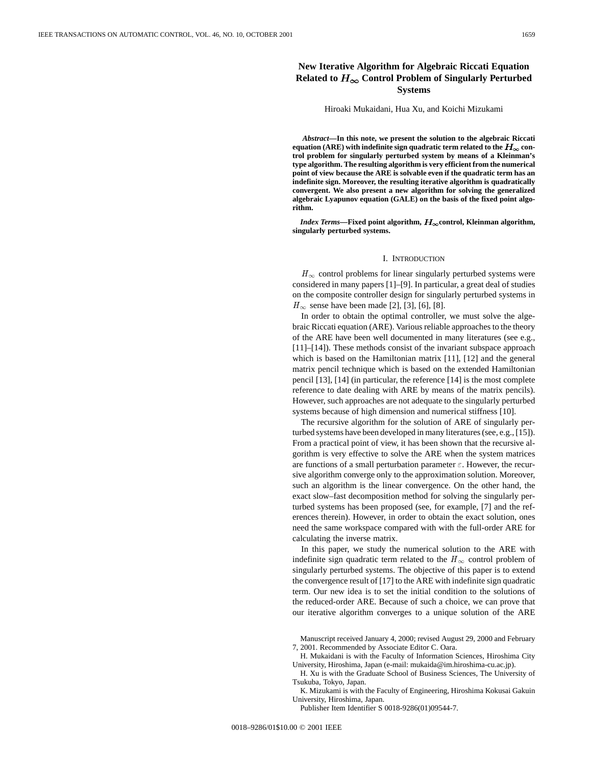# IEEE TRANSACTIONS ON AUTOMATIC CONTROL, VOL. 46, NO. 10, OCTOBER 2001<br>New Iterative Algorithm for Algebraic Riccati Equation<br>New Iterative Algorithm for Algebraic Riccati Equation **New Iterative Algorithm for Algebraic Riccati Equation** Related to  $H_{\infty}$  Control Problem of Singularly Perturbed **Systems**

#### Hiroaki Mukaidani, Hua Xu, and Koichi Mizukami

*Abstract—***In this note, we present the solution to the algebraic Riccati** equation (ARE) with indefinite sign quadratic term related to the  $H_{\infty}$  con**trol problem for singularly perturbed system by means of a Kleinman's type algorithm. The resulting algorithm is very efficient from the numerical point of view because the ARE is solvable even if the quadratic term has an indefinite sign. Moreover, the resulting iterative algorithm is quadratically convergent. We also present a new algorithm for solving the generalized algebraic Lyapunov equation (GALE) on the basis of the fixed point algorithm.**

*Index Terms—***Fixed point algorithm, control, Kleinman algorithm, singularly perturbed systems.**

### I. INTRODUCTION

 $H_{\infty}$  control problems for linear singularly perturbed systems were considered in many papers [1]–[9]. In particular, a great deal of studies on the composite controller design for singularly perturbed systems in  $H_{\infty}$  sense have been made [2], [3], [6], [8].

In order to obtain the optimal controller, we must solve the algebraic Riccati equation (ARE). Various reliable approaches to the theory of the ARE have been well documented in many literatures (see e.g., [11]–[14]). These methods consist of the invariant subspace approach which is based on the Hamiltonian matrix [11], [12] and the general matrix pencil technique which is based on the extended Hamiltonian pencil [13], [14] (in particular, the reference [14] is the most complete reference to date dealing with ARE by means of the matrix pencils). However, such approaches are not adequate to the singularly perturbed systems because of high dimension and numerical stiffness [10].

The recursive algorithm for the solution of ARE of singularly perturbed systems have been developed in many literatures (see, e.g., [15]). From a practical point of view, it has been shown that the recursive algorithm is very effective to solve the ARE when the system matrices are functions of a small perturbation parameter  $\varepsilon$ . However, the recursive algorithm converge only to the approximation solution. Moreover, such an algorithm is the linear convergence. On the other hand, the exact slow–fast decomposition method for solving the singularly perturbed systems has been proposed (see, for example, [7] and the references therein). However, in order to obtain the exact solution, ones need the same workspace compared with with the full-order ARE for calculating the inverse matrix.

In this paper, we study the numerical solution to the ARE with indefinite sign quadratic term related to the  $H_{\infty}$  control problem of singularly perturbed systems. The objective of this paper is to extend the convergence result of [17] to the ARE with indefinite sign quadratic term. Our new idea is to set the initial condition to the solutions of the reduced-order ARE. Because of such a choice, we can prove that our iterative algorithm converges to a unique solution of the ARE

Manuscript received January 4, 2000; revised August 29, 2000 and February 7, 2001. Recommended by Associate Editor C. Oara.

H. Xu is with the Graduate School of Business Sciences, The University of Tsukuba, Tokyo, Japan.

K. Mizukami is with the Faculty of Engineering, Hiroshima Kokusai Gakuin University, Hiroshima, Japan.

Publisher Item Identifier S 0018-9286(01)09544-7.

H. Mukaidani is with the Faculty of Information Sciences, Hiroshima City University, Hiroshima, Japan (e-mail: mukaida@im.hiroshima-cu.ac.jp).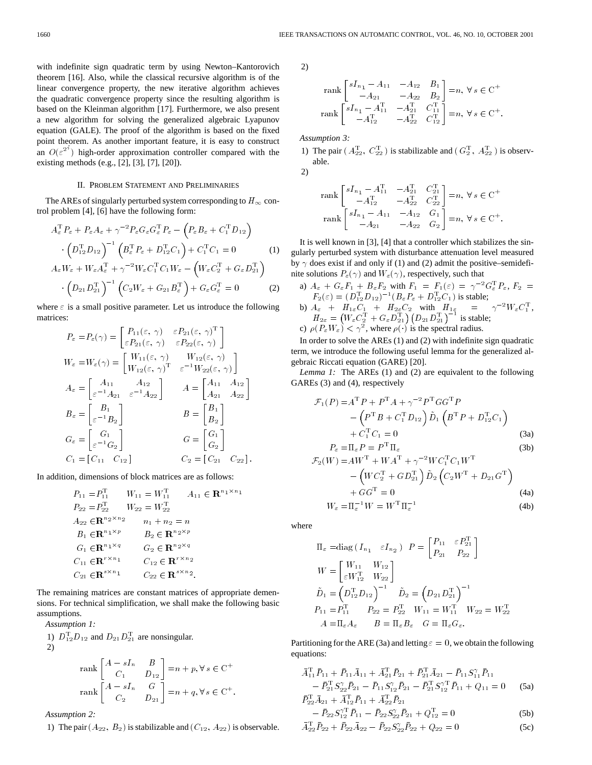with indefinite sign quadratic term by using Newton–Kantorovich theorem [16]. Also, while the classical recursive algorithm is of the linear convergence property, the new iterative algorithm achieves the quadratic convergence property since the resulting algorithm is based on the Kleinman algorithm [17]. Furthermore, we also present a new algorithm for solving the generalized algebraic Lyapunov equation (GALE). The proof of the algorithm is based on the fixed point theorem. As another important feature, it is easy to construct an  $O(\varepsilon^{2^n})$  high-order approximation controller compared with the existing methods (e.g., [2], [3], [7], [20]).

# II. PROBLEM STATEMENT AND PRELIMINARIES

The AREs of singularly perturbed system corresponding to  $H_{\infty}$  con-<br>
I problem [4], [6] have the following form:<br>  $A_{\varepsilon}^{\mathrm{T}} P_{\varepsilon} + P_{\varepsilon} A_{\varepsilon} + \gamma^{-2} P_{\varepsilon} G_{\varepsilon} G_{\varepsilon}^{\mathrm{T}} P_{\varepsilon} - (P_{\varepsilon} B_{\varepsilon} + C_{1}^{\mathrm{T}} D_{12$ trol problem [4], [6] have the following form:

$$
A_{\varepsilon}^{\mathrm{T}} P_{\varepsilon} + P_{\varepsilon} A_{\varepsilon} + \gamma^{-2} P_{\varepsilon} G_{\varepsilon} G_{\varepsilon}^{\mathrm{T}} P_{\varepsilon} - \left( P_{\varepsilon} B_{\varepsilon} + C_{1}^{\mathrm{T}} D_{12} \right)
$$

$$
\cdot \left( D_{12}^{\mathrm{T}} D_{12} \right)^{-1} \left( B_{\varepsilon}^{\mathrm{T}} P_{\varepsilon} + D_{12}^{\mathrm{T}} C_{1} \right) + C_{1}^{\mathrm{T}} C_{1} = 0 \tag{1}
$$

$$
A_{\varepsilon} W_{\varepsilon} + W_{\varepsilon} A_{\varepsilon}^{\mathrm{T}} + \gamma^{-2} W_{\varepsilon} C_{1}^{\mathrm{T}} C_{1} W_{\varepsilon} - \left( W_{\varepsilon} C_{2}^{\mathrm{T}} + G_{\varepsilon} D_{21}^{\mathrm{T}} \right)
$$

$$
\cdot \left(D_{21}D_{21}^{T}\right)^{-1}\left(C_{2}W_{\varepsilon}+G_{21}B_{\varepsilon}^{T}\right)+G_{\varepsilon}G_{\varepsilon}^{T}=0
$$
 (2)

where  $\varepsilon$  is a small positive parameter. Let us introduce the following matrices:

$$
P_{\varepsilon} = P_{\varepsilon}(\gamma) = \begin{bmatrix} P_{11}(\varepsilon, \gamma) & \varepsilon P_{21}(\varepsilon, \gamma)^{\mathrm{T}} \\ \varepsilon P_{21}(\varepsilon, \gamma) & \varepsilon P_{22}(\varepsilon, \gamma) \end{bmatrix}
$$
  
\n
$$
W_{\varepsilon} = W_{\varepsilon}(\gamma) = \begin{bmatrix} W_{11}(\varepsilon, \gamma) & W_{12}(\varepsilon, \gamma) \\ W_{12}(\varepsilon, \gamma)^{\mathrm{T}} & \varepsilon^{-1} W_{22}(\varepsilon, \gamma) \end{bmatrix}
$$
  
\n
$$
A_{\varepsilon} = \begin{bmatrix} A_{11} & A_{12} \\ \varepsilon^{-1} A_{21} & \varepsilon^{-1} A_{22} \end{bmatrix} \qquad A = \begin{bmatrix} A_{11} & A_{12} \\ A_{21} & A_{22} \end{bmatrix}
$$
  
\n
$$
B_{\varepsilon} = \begin{bmatrix} B_{1} \\ \varepsilon^{-1} B_{2} \end{bmatrix} \qquad B = \begin{bmatrix} B_{1} \\ B_{2} \end{bmatrix}
$$
  
\n
$$
G_{\varepsilon} = \begin{bmatrix} G_{1} \\ \varepsilon^{-1} G_{2} \end{bmatrix} \qquad G = \begin{bmatrix} G_{1} \\ G_{2} \end{bmatrix}
$$
  
\n
$$
C_{1} = [C_{11} \quad C_{12}] \qquad C_{2} = [C_{21} \quad C_{22}].
$$

In addition, dimensions of block matrices are as follows:

$$
P_{11} = P_{11}^{T} \t W_{11} = W_{11}^{T} \t A_{11} \in \mathbf{R}^{n_1 \times n_1}
$$
  
\n
$$
P_{22} = P_{22}^{T} \t W_{22} = W_{22}^{T}
$$
  
\n
$$
A_{22} \in \mathbf{R}^{n_2 \times n_2} \t n_1 + n_2 = n
$$
  
\n
$$
B_1 \in \mathbf{R}^{n_1 \times p} \t B_2 \in \mathbf{R}^{n_2 \times p}
$$
  
\n
$$
G_1 \in \mathbf{R}^{n_1 \times q} \t G_2 \in \mathbf{R}^{n_2 \times q}
$$
  
\n
$$
C_{11} \in \mathbf{R}^{r \times n_1} \t C_{12} \in \mathbf{R}^{r \times n_2}
$$
  
\n
$$
C_{21} \in \mathbf{R}^{s \times n_1} \t C_{22} \in \mathbf{R}^{s \times n_2}.
$$

The remaining matrices are constant matrices of appropriate demensions. For technical simplification, we shall make the following basic assumptions.

Assumption 1:  
\n1) 
$$
D_{12}^{T}D_{12}
$$
 and  $D_{21}D_{21}^{T}$  are nonsingular.  
\n2)  
\n
$$
\begin{bmatrix}\nA = sI & B\n\end{bmatrix}
$$

$$
\operatorname{rank}\begin{bmatrix} A - sI_n & B \\ C_1 & D_{12} \end{bmatrix} = n + p, \forall s \in \mathcal{C}^+
$$
\n
$$
\operatorname{rank}\begin{bmatrix} A - sI_n & G \\ C_2 & D_{21} \end{bmatrix} = n + q, \forall s \in \mathcal{C}^+.
$$

*Assumption 2:*

1) The pair  $(A_{22}, B_2)$  is stabilizable and  $(C_{12}, A_{22})$  is observable.

2)

$$
\begin{array}{c} \mathop{\rm rank}\nolimits\begin{bmatrix} sI_{n_1}\, -\, A_{11} & -A_{12} & B_1 \\ -\, A_{21} & -A_{22} & B_2 \end{bmatrix}=n,\; \forall\, s\, \in {\bf C}^+\\ \mathop{\rm rank}\nolimits\begin{bmatrix} sI_{n_1}\, -\, A_{11}^{\rm T} & -\, A_{21}^{\rm T} & C_{11}^{\rm T} \\ -\, A_{12}^{\rm T} & -\, A_{22}^{\rm T} & C_{12}^{\rm T} \end{bmatrix}=n,\; \forall\, s\, \in {\bf C}^+\,. \end{array}
$$

*Assumption 3:*

1) The pair  $(A_{22}^T, C_{22}^T)$  is stabilizable and  $(G_2^T, A_{22}^T)$  is observable. 2)

$$
\begin{array}{c} \mathop{\rm rank}\left[\begin{matrix}sI_{n_{1}}-A_{11}^{\mathrm{T}} & -A_{21}^{\mathrm{T}} & C_{21}^{\mathrm{T}} \\ -A_{12}^{\mathrm{T}} & -A_{22}^{\mathrm{T}} & C_{22}^{\mathrm{T}} \end{matrix}\right] = n,\ \forall\,s\,\in\mathcal{C}^{+}\\ \mathop{\rm rank}\left[\begin{matrix}sI_{n_{1}}-A_{11} & -A_{12} & G_{1} \\ -A_{21} & -A_{22} & G_{2} \end{matrix}\right] = n,\ \forall\,s\,\in\mathcal{C}^{+}. \end{array}
$$

It is well known in [3], [4] that a controller which stabilizes the singularly perturbed system with disturbance attenuation level measured by  $\gamma$  does exist if and only if (1) and (2) admit the positive–semidefinite solutions  $P_{\varepsilon}(\gamma)$  and  $W_{\varepsilon}(\gamma)$ , respectively, such that

a) 
$$
A_{\varepsilon} + G_{\varepsilon}F_1 + B_{\varepsilon}F_2
$$
 with  $F_1 = F_1(\varepsilon) = \gamma^{-2}G_{\varepsilon}^{\mathrm{T}}P_{\varepsilon}$ ,  $F_2 = F_2(\varepsilon) = (D_{12}^{\mathrm{T}}D_{12})^{-1}(B_{\varepsilon}P_{\varepsilon} + D_{12}^{\mathrm{T}}C_1)$  is stable; \nb)  $A_{\varepsilon} + H_{1\varepsilon}C_1 + H_{2\varepsilon}C_2$  with  $H_{1\varepsilon} = \gamma^{-2}W_{\varepsilon}C_1^{\mathrm{T}}$ ,  $H_{2\varepsilon} = (W_{\varepsilon}C_2^{\mathrm{T}} + G_{\varepsilon}D_{21}^{\mathrm{T}})(D_{21}D_{21}^{\mathrm{T}})^{-1}$  is stable; \nc)  $\rho(P_{\varepsilon}W_{\varepsilon}) < \gamma^2$ , where  $\rho(\cdot)$  is the spectral radius.

In order to solve the AREs (1) and (2) with indefinite sign quadratic term, we introduce the following useful lemma for the generalized algebraic Riccati equation (GARE) [20].

*Lemma 1:* The AREs (1) and (2) are equivalent to the following GAREs (3) and (4), respectively

$$
\mathcal{F}_1(P) = A^{\mathrm{T}} P + P^{\mathrm{T}} A + \gamma^{-2} P^{\mathrm{T}} G G^{\mathrm{T}} P \n- \left( P^{\mathrm{T}} B + C_1^{\mathrm{T}} D_{12} \right) \tilde{D}_1 \left( B^{\mathrm{T}} P + D_{12}^{\mathrm{T}} C_1 \right) \n+ C_1^{\mathrm{T}} C_1 = 0
$$
\n(3a)

$$
P_{\varepsilon} = \Pi_{\varepsilon} P = P^{\mathrm{T}} \Pi_{\varepsilon}
$$
\n
$$
\mathcal{F}_2(W) = AW^{\mathrm{T}} + WA^{\mathrm{T}} + \gamma^{-2} WC_1^{\mathrm{T}}C_1W^{\mathrm{T}}
$$
\n
$$
- \left( WC_2^{\mathrm{T}} + GD_{21}^{\mathrm{T}}\right)\tilde{D}_2\left(C_2W^{\mathrm{T}} + D_{21}G^{\mathrm{T}}\right)
$$
\n
$$
+ GG^{\mathrm{T}} = 0
$$
\n
$$
W_{\varepsilon} = \Pi_{\varepsilon}^{-1}W = W^{\mathrm{T}}\Pi_{\varepsilon}^{-1}
$$
\n(4b)

where

$$
\Pi_{\varepsilon} = \text{diag} (I_{n_1} \varepsilon I_{n_2}) \quad P = \begin{bmatrix} P_{11} & \varepsilon P_{21}^{\mathrm{T}} \\ P_{21} & P_{22} \end{bmatrix}
$$

$$
W = \begin{bmatrix} W_{11} & W_{12} \\ \varepsilon W_{12}^{\mathrm{T}} & W_{22} \end{bmatrix}
$$

$$
\tilde{D}_1 = \begin{pmatrix} D_{12}^{\mathrm{T}} D_{12} \end{pmatrix}^{-1} \quad \tilde{D}_2 = \begin{pmatrix} D_{21} D_{21}^{\mathrm{T}} \end{pmatrix}^{-1}
$$

$$
P_{11} = P_{11}^{\mathrm{T}} \qquad P_{22} = P_{22}^{\mathrm{T}} \quad W_{11} = W_{11}^{\mathrm{T}} \quad W_{22} = W_{22}^{\mathrm{T}}
$$

$$
A = \Pi_{\varepsilon} A_{\varepsilon} \qquad B = \Pi_{\varepsilon} B_{\varepsilon} \quad G = \Pi_{\varepsilon} G_{\varepsilon}.
$$

Partitioning for the ARE (3a) and letting  $\varepsilon = 0$ , we obtain the following equations:

$$
\bar{A}_{11}^{\mathrm{T}} \bar{P}_{11} + \bar{P}_{11} \bar{A}_{11} + \bar{A}_{21}^{\mathrm{T}} \bar{P}_{21} + \bar{P}_{21}^{\mathrm{T}} \bar{A}_{21} - \bar{P}_{11} S_{11}^{\gamma} \bar{P}_{11} \n- \bar{P}_{21}^{\mathrm{T}} S_{22}^{\gamma} \bar{P}_{21} - \bar{P}_{11} S_{12}^{\gamma} \bar{P}_{21} - \bar{P}_{21}^{\mathrm{T}} S_{12}^{\gamma} \bar{P}_{11} + Q_{11} = 0
$$
\n(5a)  
\n
$$
\bar{P}_{22}^{\mathrm{T}} \bar{A}_{21} + \bar{A}_{12}^{\mathrm{T}} \bar{P}_{11} + \bar{A}_{22}^{\mathrm{T}} \bar{P}_{21}
$$

$$
- \bar{P}_{22} S_{12}^{\gamma T} \bar{P}_{11} - \bar{P}_{22} S_{22}^{\gamma} \bar{P}_{21} + Q_{12}^{T} = 0
$$
 (5b)

$$
\bar{A}_{22}^{\mathrm{T}} \bar{P}_{22} + \bar{P}_{22} \bar{A}_{22} - \bar{P}_{22} S_{22}^{\gamma} \bar{P}_{22} + Q_{22} = 0 \tag{5c}
$$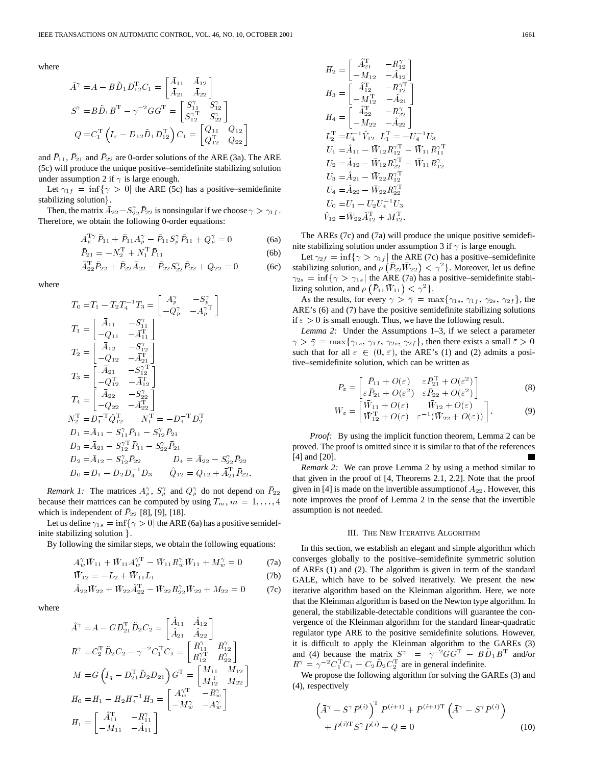where

$$
\bar{A}^{\gamma} = A - B \tilde{D}_1 D_{12}^{\mathrm{T}} C_1 = \begin{bmatrix} \bar{A}_{11} & \bar{A}_{12} \\ \bar{A}_{21} & \bar{A}_{22} \end{bmatrix}
$$
  
\n
$$
S^{\gamma} = B \tilde{D}_1 B^{\mathrm{T}} - \gamma^{-2} G G^{\mathrm{T}} = \begin{bmatrix} S_{11}^{\gamma} & S_{12}^{\gamma} \\ S_{12}^{\gamma \mathrm{T}} & S_{22}^{\gamma} \end{bmatrix}
$$
  
\n
$$
Q = C_1^{\mathrm{T}} \left( I_r - D_{12} \tilde{D}_1 D_{12}^{\mathrm{T}} \right) C_1 = \begin{bmatrix} Q_{11} & Q_{12} \\ Q_{12}^{\mathrm{T}} & Q_{22} \end{bmatrix}
$$

and  $\bar{P}_{11}$ ,  $\bar{P}_{21}$  and  $\bar{P}_{22}$  are 0-order solutions of the ARE (3a). The ARE (5c) will produce the unique positive–semidefinite stabilizing solution under assumption 2 if  $\gamma$  is large enough.

Let  $\gamma_{1f} = \inf \{ \gamma > 0 \}$  the ARE (5c) has a positive–semidefinite stabilizing solution.

Then, the matrix  $\overline{A}_{22} - S_{22}^{\gamma} \overline{P}_{22}$  is nonsingular if we choose  $\gamma > \gamma_{1f}$ . Therefore, we obtain the following 0-order equations:

$$
A_p^{\mathrm{T}\gamma} \bar{P}_{11} + \bar{P}_{11} A_p^{\gamma} - \bar{P}_{11} S_p^{\gamma} \bar{P}_{11} + Q_p^{\gamma} = 0 \tag{6a}
$$

$$
\bar{P}_{21} = -N_2^{\mathrm{T}} + N_1^{\mathrm{T}} \bar{P}_{11}
$$
 (6b)

$$
\bar{A}_{22}^{\mathrm{T}} \bar{P}_{22} + \bar{P}_{22} \bar{A}_{22} - \bar{P}_{22} S_{22}^{\gamma} \bar{P}_{22} + Q_{22} = 0 \tag{6c}
$$

where

N <sup>T</sup>

$$
T_0 = T_1 - T_2 T_4^{-1} T_3 = \begin{bmatrix} A_p^{\gamma} & -S_p^{\gamma} \\ -Q_p^{\gamma} & -A_p^{\gamma T} \end{bmatrix}
$$
  
\n
$$
T_1 = \begin{bmatrix} \bar{A}_{11} & -S_{11}^{\gamma} \\ -Q_{11} & -\bar{A}_{11}^{\gamma} \end{bmatrix}
$$
  
\n
$$
T_2 = \begin{bmatrix} \bar{A}_{12} & -S_{12}^{\gamma} \\ -Q_{12} & -\bar{A}_{21}^{\gamma} \end{bmatrix}
$$
  
\n
$$
T_3 = \begin{bmatrix} \bar{A}_{21} & -S_{12}^{\gamma T} \\ -Q_{12}^{\gamma} & -\bar{A}_{12}^{\gamma} \end{bmatrix}
$$
  
\n
$$
T_4 = \begin{bmatrix} \bar{A}_{22} & -S_{22}^{\gamma} \\ -Q_{22} & -\bar{A}_{22}^{\gamma} \end{bmatrix}
$$
  
\n
$$
V_2^T = D_4^{-T} \hat{Q}_{12}^{\gamma} \qquad N_1^{\gamma} = -D_4^{-T} D_2^{\gamma}
$$
  
\n
$$
D_1 = \bar{A}_{11} - S_{11}^{\gamma} \bar{P}_{11} - S_{12}^{\gamma} \bar{P}_{21}
$$
  
\n
$$
D_3 = \bar{A}_{21} - S_{12}^{\gamma T} \bar{P}_{11} - S_{22}^{\gamma} \bar{P}_{21}
$$
  
\n
$$
D_2 = \bar{A}_{12} - S_{12}^{\gamma} \bar{P}_{22} \qquad D_4 = \bar{A}_{22} - S_{22}^{\gamma} \bar{P}_{22}
$$
  
\n
$$
D_0 = D_1 - D_2 D_4^{-1} D_3 \qquad \hat{Q}_{12} = Q_{12} + \bar{A}_{21}^{\gamma} \bar{P}_{22}.
$$

*Remark 1:* The matrices  $A_p^{\gamma}$ ,  $S_p^{\gamma}$  and  $Q_p^{\gamma}$  do not depend on  $\overline{P}_{22}$ because their matrices can be computed by using  $T_m$ ,  $m = 1, \ldots, 4$ which is independent of  $\bar{P}_{22}$  [8], [9], [18].

Let us define  $\gamma_{1s} = \inf \{ \gamma > 0 \}$  the ARE (6a) has a positive semidefinite stabilizing solution  $\}$ .

By following the similar steps, we obtain the following equations:

$$
A_{w}^{\gamma} \bar{W}_{11} + \bar{W}_{11} A_{w}^{\gamma T} - \bar{W}_{11} R_{w}^{\gamma} \bar{W}_{11} + M_{w}^{\gamma} = 0
$$
 (7a)

$$
\bar{W}_{12} = -L_2 + \bar{W}_{11}L_1 \tag{7b}
$$

$$
\hat{A}_{22}\bar{W}_{22} + \bar{W}_{22}\hat{A}_{22}^{\mathrm{T}} - \bar{W}_{22}R_{22}^{\gamma}\bar{W}_{22} + M_{22} = 0 \tag{7c}
$$

where

$$
\begin{aligned}\n\hat{A}^{\gamma} &= A - GD_{21}^{\mathrm{T}} \hat{D}_2 C_2 = \begin{bmatrix} \hat{A}_{11} & \hat{A}_{12} \\ \hat{A}_{21} & \hat{A}_{22} \end{bmatrix} \\
R^{\gamma} &= C_2^{\mathrm{T}} \hat{D}_2 C_2 - \gamma^{-2} C_1^{\mathrm{T}} C_1 = \begin{bmatrix} R_{11}^{\gamma} & R_{12}^{\gamma} \\ R_{12}^{\gamma} & R_{22}^{\gamma} \end{bmatrix} \\
M &= G \left( I_q - D_{21}^{\mathrm{T}} \hat{D}_2 D_{21} \right) G^{\mathrm{T}} = \begin{bmatrix} M_{11} & M_{12} \\ M_{12}^{\mathrm{T}} & M_{22} \end{bmatrix} \\
H_0 &= H_1 - H_2 H_4^{-1} H_3 = \begin{bmatrix} A_w^{\gamma} & -R_w^{\gamma} \\ -M_w^{\gamma} & -A_w^{\gamma} \end{bmatrix} \\
H_1 &= \begin{bmatrix} \hat{A}_{11}^{\mathrm{T}} & -R_{11}^{\gamma} \\ -M_{11} & -\hat{A}_{11} \end{bmatrix}\n\end{aligned}
$$

$$
H_2 = \begin{bmatrix} \hat{A}_{21}^{\mathrm{T}} & -R_{12}^{\gamma} \\ -M_{12} & -\hat{A}_{12} \end{bmatrix}
$$
  
\n
$$
H_3 = \begin{bmatrix} \hat{A}_{12}^{\mathrm{T}} & -R_{12}^{\gamma \mathrm{T}} \\ -M_{12}^{\mathrm{T}} & -\hat{A}_{21} \end{bmatrix}
$$
  
\n
$$
H_4 = \begin{bmatrix} \hat{A}_{22}^{\mathrm{T}} & -R_{22}^{\gamma} \\ -M_{22} & -\hat{A}_{22} \end{bmatrix}
$$
  
\n
$$
L_2^{\mathrm{T}} = U_4^{-1} \hat{V}_{12} \ L_1^{\mathrm{T}} = -U_4^{-1} U_3
$$
  
\n
$$
U_1 = \hat{A}_{11} - \bar{W}_{12} R_{12}^{\gamma \mathrm{T}} - \bar{W}_{11} R_{11}^{\gamma \mathrm{T}}
$$
  
\n
$$
U_2 = \hat{A}_{12} - \bar{W}_{12} R_{22}^{\gamma \mathrm{T}} - \bar{W}_{11} R_{12}^{\gamma \mathrm{T}}
$$
  
\n
$$
U_3 = \hat{A}_{21} - \bar{W}_{22} R_{12}^{\gamma \mathrm{T}}
$$
  
\n
$$
U_4 = \hat{A}_{22} - \bar{W}_{22} R_{22}^{\gamma \mathrm{T}}
$$
  
\n
$$
U_0 = U_1 - U_2 U_4^{-1} U_3
$$
  
\n
$$
\hat{V}_{12} = \bar{W}_{22} \hat{A}_{12}^{\mathrm{T}} + M_{12}^{\mathrm{T}}.
$$

The AREs (7c) and (7a) will produce the unique positive semidefinite stabilizing solution under assumption 3 if  $\gamma$  is large enough.

Let  $\gamma_{2f} = \inf \{ \gamma > \gamma_{1f} \}$  the ARE (7c) has a positive–semidefinite stabilizing solution, and  $\rho\left(\bar{P}_{22}\bar{W}_{22}\right) < \gamma^2$ . Moreover, let us define  $\gamma_{2s} = \inf \{ \gamma > \gamma_{1s} \}$  the ARE (7a) has a positive–semidefinite stabilizing solution, and  $\rho$   $(\bar{P}_{11}\bar{W}_{11}) < \gamma^2$ .

As the results, for every  $\gamma > \bar{\gamma} = \max\{\gamma_{1s}, \gamma_{1f}, \gamma_{2s}, \gamma_{2f}\}\$ , the ARE's (6) and (7) have the positive semidefinite stabilizing solutions if  $\epsilon > 0$  is small enough. Thus, we have the following result.

*Lemma 2:* Under the Assumptions 1–3, if we select a parameter  $\gamma > \bar{\gamma} = \max\{\gamma_{1s}, \gamma_{1f}, \gamma_{2s}, \gamma_{2f}\}\$ , then there exists a small  $\bar{\varepsilon} > 0$ such that for all  $\varepsilon \in (0, \bar{\varepsilon})$ , the ARE's (1) and (2) admits a positive–semidefinite solution, which can be written as

$$
P_{\varepsilon} = \begin{bmatrix} \bar{P}_{11} + O(\varepsilon) & \varepsilon \bar{P}_{21}^{\mathrm{T}} + O(\varepsilon^2) \\ \varepsilon \bar{P}_{21} + O(\varepsilon^2) & \varepsilon \bar{P}_{22} + O(\varepsilon^2) \end{bmatrix}
$$
(8)

$$
V_{\varepsilon} = \begin{bmatrix} \varepsilon \bar{P}_{21} + O(\varepsilon^2) & \varepsilon \bar{P}_{22} + O(\varepsilon^2) \end{bmatrix}
$$
  
\n
$$
W_{\varepsilon} = \begin{bmatrix} \bar{W}_{11} + O(\varepsilon) & \bar{W}_{12} + O(\varepsilon) \\ \bar{W}_{12}^{\mathrm{T}} + O(\varepsilon) & \varepsilon^{-1} (\bar{W}_{22} + O(\varepsilon)) \end{bmatrix}.
$$
 (9)

*Proof:* By using the implicit function theorem, Lemma 2 can be proved. The proof is omitted since it is similar to that of the references [4] and [20].

*Remark 2:* We can prove Lemma 2 by using a method similar to that given in the proof of [4, Theorems 2.1, 2.2]. Note that the proof given in [4] is made on the invertible assumption  $A_{22}$ . However, this note improves the proof of Lemma 2 in the sense that the invertible assumption is not needed.

### III. THE NEW ITERATIVE ALGORITHM

In this section, we establish an elegant and simple algorithm which converges globally to the positive–semidefinite symmetric solution of AREs (1) and (2). The algorithm is given in term of the standard GALE, which have to be solved iteratively. We present the new iterative algorithm based on the Kleinman algorithm. Here, we note that the Kleinman algorithm is based on the Newton type algorithm. In general, the stabilizable-detectable conditions will guarantee the convergence of the Kleinman algorithm for the standard linear-quadratic regulator type ARE to the positive semidefinite solutions. However, it is difficult to apply the Kleinman algorithm to the GAREs (3) and (4) because the matrix  $S^{\gamma} = \gamma^{-2}GG^{T} - B\tilde{D}_{1}B^{T}$  and/or it is difficult to apply the Kleinman algorithm to the<br>and (4) because the matrix  $S^{\gamma} = \gamma^{-2}GG^{\gamma} - B$ .<br> $R^{\gamma} = \gamma^{-2}C_1^{\gamma}C_1 - C_2\tilde{D}_2C_2^{\gamma}$  are in general indefinite.

We propose the following algorithm for solving the GAREs (3) and (4), respectively

$$
\left(\bar{A}^{\gamma} - S^{\gamma} P^{(i)}\right)^{\mathrm{T}} P^{(i+1)} + P^{(i+1)\mathrm{T}} \left(\bar{A}^{\gamma} - S^{\gamma} P^{(i)}\right) + P^{(i)\mathrm{T}} S^{\gamma} P^{(i)} + Q = 0 \tag{10}
$$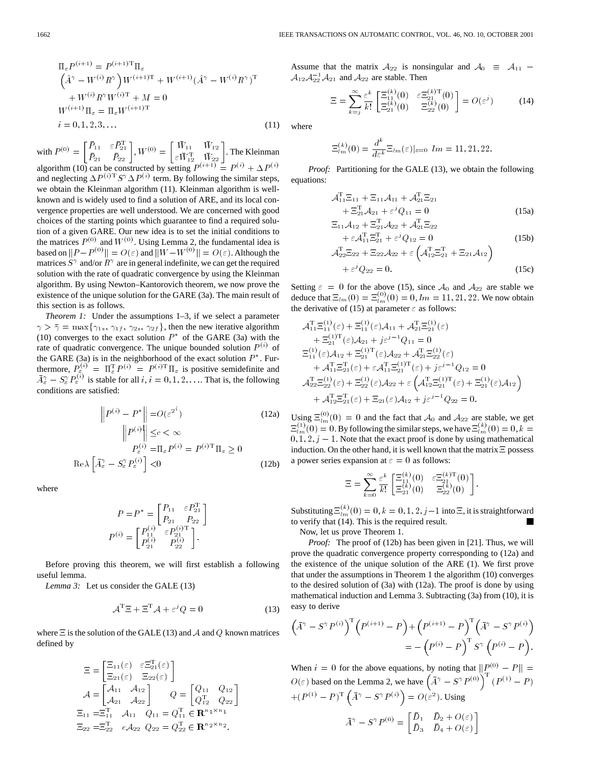$$
\Pi_{\varepsilon} P^{(i+1)} = P^{(i+1)T} \Pi_{\varepsilon} \n\left( \hat{A}^{\gamma} - W^{(i)} R^{\gamma} \right) W^{(i+1)T} + W^{(i+1)} (\hat{A}^{\gamma} - W^{(i)} R^{\gamma})^{\mathrm{T}} \n+ W^{(i)} R^{\gamma} W^{(i)T} + M = 0 \nW^{(i+1)} \Pi_{\varepsilon} = \Pi_{\varepsilon} W^{(i+1)T} \n i = 0, 1, 2, 3, ...
$$
\n(11)

with  $P^{(0)} = \begin{bmatrix} \bar{P}_{11} & \varepsilon \bar{P}_{21}^{\mathrm{T}} \\ \bar{P}_{21} & \bar{P}_{22} \end{bmatrix}$ ,  $W^{(0)} = \begin{bmatrix} \bar{W}_{11} & \bar{W}_{12} \\ \varepsilon \bar{W}_{12}^{\mathrm{T}} & \bar{W}_{22} \end{bmatrix}$ . The Kleinman algorithm (10) can be constructed by setting  $P^{(i+1)} = P^{(i)} + \Delta P^{(i)}$ and neglecting  $\Delta P^{(i)T} S^{\gamma} \Delta P^{(i)}$  term. By following the similar steps, we obtain the Kleinman algorithm (11). Kleinman algorithm is wellknown and is widely used to find a solution of ARE, and its local convergence properties are well understood. We are concerned with good choices of the starting points which guarantee to find a required solution of a given GARE. Our new idea is to set the initial conditions to the matrices  $P^{(0)}$  and  $W^{(0)}$ . Using Lemma 2, the fundamental idea is based on  $||P - P^{(0)}|| = O(\varepsilon)$  and  $||W - W^{(0)}|| = O(\varepsilon)$ . Although the matrices  $S^{\gamma}$  and/or  $R^{\gamma}$  are in general indefinite, we can get the required solution with the rate of quadratic convergence by using the Kleinman algorithm. By using Newton–Kantorovich theorem, we now prove the existence of the unique solution for the GARE (3a). The main result of this section is as follows.

*Theorem 1:* Under the assumptions 1–3, if we select a parameter  $\gamma > \bar{\gamma} = \max\{\gamma_{1s}, \gamma_{1f}, \gamma_{2s}, \gamma_{2f}\}\$ , then the new iterative algorithm (10) converges to the exact solution  $P^*$  of the GARE (3a) with the rate of quadratic convergence. The unique bounded solution  $P^{(i)}$  of the GARE (3a) is in the neighborhood of the exact solution  $P^*$ . Furthermore,  $P_{\xi}^{(i)} = \Pi_{\varepsilon}^{\mathrm{T}} P^{(i)} = P^{(i) \mathrm{T}} \Pi_{\varepsilon}$  is positive semidefinite and  $\bar{A}_{\varepsilon}^{\gamma} - S_{\varepsilon}^{\gamma} P_{\varepsilon}^{(i)}$  is stable for all  $i, i = 0, 1, 2, \dots$  That is, the following conditions are satisfied:

$$
\left\| P^{(i)} - P^* \right\| = O(\varepsilon^{2^i}) \tag{12a}
$$
\n
$$
\left\| P^{(i)} \right\| \le c < \infty
$$
\n
$$
P^{(i)}_{\varepsilon} = \Pi_{\varepsilon} P^{(i)} = P^{(i)T} \Pi_{\varepsilon} \ge 0
$$
\n
$$
\text{Re}\lambda \left[ \bar{A}_{\varepsilon}^{\gamma} - S_{\varepsilon}^{\gamma} P_{\varepsilon}^{(i)} \right] < 0 \tag{12b}
$$

where

$$
P = P^* = \begin{bmatrix} P_{11} & \varepsilon P_{21}^{\mathrm{T}} \\ P_{21} & P_{22} \end{bmatrix}
$$

$$
P^{(i)} = \begin{bmatrix} P_{11}^{(i)} & \varepsilon P_{21}^{(i)\mathrm{T}} \\ P_{21}^{(i)} & P_{22}^{(i)} \end{bmatrix}.
$$

Before proving this theorem, we will first establish a following useful lemma.

*Lemma 3:* Let us consider the GALE (13)

$$
\mathcal{A}^{\mathrm{T}}\Xi + \Xi^{\mathrm{T}}\mathcal{A} + \varepsilon^{j}Q = 0
$$
 (13)

where  $\Xi$  is the solution of the GALE (13) and  $\mathcal A$  and  $\mathcal Q$  known matrices defined by

$$
\Xi = \begin{bmatrix} \Xi_{11}(\varepsilon) & \varepsilon \Xi_{21}^{\mathrm{T}}(\varepsilon) \\ \Xi_{21}(\varepsilon) & \Xi_{22}(\varepsilon) \end{bmatrix}
$$

$$
\mathcal{A} = \begin{bmatrix} \mathcal{A}_{11} & \mathcal{A}_{12} \\ \mathcal{A}_{21} & \mathcal{A}_{22} \end{bmatrix} \qquad Q = \begin{bmatrix} Q_{11} & Q_{12} \\ Q_{12}^{\mathrm{T}} & Q_{22} \end{bmatrix}
$$

$$
\Xi_{11} = \Xi_{11}^{\mathrm{T}} \qquad \mathcal{A}_{11} \qquad Q_{11} = Q_{11}^{\mathrm{T}} \in \mathbb{R}^{n_1 \times n_1}
$$

$$
\Xi_{22} = \Xi_{22}^{\mathrm{T}} \qquad e \mathcal{A}_{22} \qquad Q_{22} = Q_{22}^{\mathrm{T}} \in \mathbb{R}^{n_2 \times n_2}.
$$

Assume that the matrix  $A_{22}$  is nonsingular and  $A_0 \equiv A_{11}$  –  $A_{12}A_{22}^{-1}A_{21}$  and  $A_{22}$  are stable. Then

$$
\Xi = \sum_{k=j}^{\infty} \frac{\varepsilon^k}{k!} \begin{bmatrix} \Xi_{11}^{(k)}(0) & \varepsilon \Xi_{21}^{(k)T}(0) \\ \Xi_{21}^{(k)}(0) & \Xi_{22}^{(k)}(0) \end{bmatrix} = O(\varepsilon^j)
$$
(14)

where

$$
\Xi_{lm}^{(k)}(0) = \frac{d^k}{d\varepsilon^k} \Xi_{lm}(\varepsilon)|_{\varepsilon=0} \ \ lm = 11, 21, 22.
$$

*Proof:* Partitioning for the GALE (13), we obtain the following equations:

$$
\mathcal{A}_{11}^{\mathrm{T}}\Xi_{11} + \Xi_{11}\mathcal{A}_{11} + \mathcal{A}_{21}^{\mathrm{T}}\Xi_{21} \n+ \Xi_{21}^{\mathrm{T}}\mathcal{A}_{21} + \varepsilon^{j}Q_{11} = 0
$$
\n(15a)

$$
\Xi_{11}A_{12} + \Xi_{21}^{\mathrm{T}}A_{22} + A_{21}^{\mathrm{T}}\Xi_{22} + \varepsilon A_{11}^{\mathrm{T}}\Xi_{21}^{\mathrm{T}} + \varepsilon^{j}Q_{12} = 0
$$
\n
$$
\vdots
$$
\n
$$
\Xi_{11}^{\mathrm{T}}\Xi_{21}^{\mathrm{T}} + \varepsilon^{j}Q_{12} = 0
$$
\n
$$
\tag{15b}
$$

$$
\mathcal{A}_{22}^{\mathrm{T}}\Xi_{22} + \Xi_{22}\mathcal{A}_{22} + \varepsilon \left(\mathcal{A}_{12}^{\mathrm{T}}\Xi_{21}^{\mathrm{T}} + \Xi_{21}\mathcal{A}_{12}\right) + \varepsilon^{j}Q_{22} = 0.
$$
 (15c)

Setting  $\varepsilon = 0$  for the above (15), since  $\mathcal{A}_0$  and  $\mathcal{A}_{22}$  are stable we deduce that  $\Xi_{lm}(0) = \Xi_{lm}^{(0)}(0) = 0$ ,  $lm = 11, 21, 22$ . We now obtain the derivative of (15) at parameter  $\varepsilon$  as follows:

$$
\begin{aligned}\n\mathcal{A}_{11}^{\mathrm{T}} \Xi_{11}^{(1)}(\varepsilon) + \Xi_{11}^{(1)}(\varepsilon) \mathcal{A}_{11} + \mathcal{A}_{21}^{\mathrm{T}} \Xi_{21}^{(1)}(\varepsilon) \\
&+ \Xi_{21}^{(1)\mathrm{T}}(\varepsilon) \mathcal{A}_{21} + j \varepsilon^{j-1} Q_{11} = 0 \\
\Xi_{11}^{(1)}(\varepsilon) \mathcal{A}_{12} + \Xi_{21}^{(1)\mathrm{T}}(\varepsilon) \mathcal{A}_{22} + \mathcal{A}_{21}^{\mathrm{T}} \Xi_{22}^{(1)}(\varepsilon) \\
&+ \mathcal{A}_{11}^{\mathrm{T}} \Xi_{21}^{\mathrm{T}}(\varepsilon) + \varepsilon \mathcal{A}_{11}^{\mathrm{T}} \Xi_{21}^{(1)\mathrm{T}}(\varepsilon) + j \varepsilon^{j-1} Q_{12} = 0 \\
\mathcal{A}_{22}^{\mathrm{T}} \Xi_{22}^{(1)}(\varepsilon) + \Xi_{22}^{(1)}(\varepsilon) \mathcal{A}_{22} + \varepsilon \left( \mathcal{A}_{12}^{\mathrm{T}} \Xi_{21}^{(1)\mathrm{T}}(\varepsilon) + \Xi_{21}^{(1)}(\varepsilon) \mathcal{A}_{12} \right) \\
&+ \mathcal{A}_{12}^{\mathrm{T}} \Xi_{21}^{\mathrm{T}}(\varepsilon) + \Xi_{21}(\varepsilon) \mathcal{A}_{12} + j \varepsilon^{j-1} Q_{22} = 0.\n\end{aligned}
$$

Using  $\Xi_{lm}^{(0)}(0) = 0$  and the fact that  $\mathcal{A}_0$  and  $\mathcal{A}_{22}$  are stable, we get  $\Xi_{lm}^{(1)}(0) = 0$ . By following the similar steps, we have  $\Xi_{lm}^{(k)}(0) = 0, k = 1$  $0, 1, 2, j - 1$ . Note that the exact proof is done by using mathematical induction. On the other hand, it is well known that the matrix  $\Xi$  possess a power series expansion at  $\varepsilon = 0$  as follows:

$$
\Xi=\sum_{k=0}^\infty \frac{\varepsilon^k}{k!}\begin{bmatrix}\Xi_{11}^{(k)}(0) & \varepsilon\Xi_{21}^{(k)\,\mathrm{T}}(0)\\ \Xi_{21}^{(k)}(0) & \Xi_{22}^{(k)}(0)\end{bmatrix}.
$$

Substituting  $\Xi_{lm}^{(k)}(0)=0,k=0,1,2,j-1$  into  $\Xi$ , it is straightforward to verify that (14). This is the required result.

Now, let us prove Theorem 1.

*Proof:* The proof of (12b) has been given in [21]. Thus, we will prove the quadratic convergence property corresponding to (12a) and the existence of the unique solution of the ARE (1). We first prove that under the assumptions in Theorem 1 the algorithm (10) converges to the desired solution of (3a) with (12a). The proof is done by using mathematical induction and Lemma 3. Subtracting (3a) from (10), it is easy to derive

$$
(\bar{A}^{\gamma} - S^{\gamma} P^{(i)})^{\mathrm{T}} (P^{(i+1)} - P) + (P^{(i+1)} - P)^{\mathrm{T}} (\bar{A}^{\gamma} - S^{\gamma} P^{(i)})
$$
  
= - (P<sup>(i)</sup> - P) <sup>$\mathrm{T}$</sup>  S<sup>\gamma</sup> (P<sup>(i)</sup> - P).

When  $i = 0$  for the above equations, by noting that  $||P_{\mathcal{F}}^{(0)} - P|| =$  $O(\varepsilon)$  based on the Lemma 2, we have  $(\bar{A}^{\gamma} - S^{\gamma} P^{(0)})^{\gamma} (P^{(1)} - P)$  $+(P^{(1)} - P)^{\mathrm{T}} (\bar{A}^{\gamma} - S^{\gamma} P^{(i)}) = O(\varepsilon^2)$ . Using  $\bar{A}^{\gamma}-S^{\gamma}P^{(0)}=\begin{bmatrix}\bar{D}_1 & \bar{D}_2+O(\varepsilon)\ \bar{D}_3 & \bar{D}_4+O(\varepsilon)\end{bmatrix}$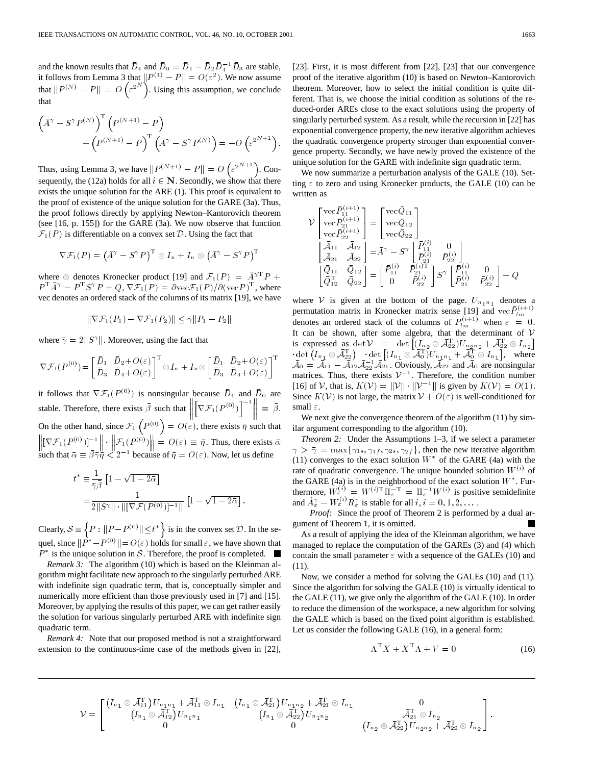IEEE TRANSACTIONS ON AUTOMATIC CONTROL, VOL. 46, NO. 10, OCTOBER 2<br>and the known results that  $\bar{D}_4$  and  $\bar{D}_0 = \bar{D}_1 - \bar{D}_2 \bar{D}_4^{-1} \bar{D}_3$  are stable, it follows from Lemma 3 that  $||P^{(1)} - P|| = O(\varepsilon^2)$ . We now assume that  $||P^{(N)} - P|| = O(\varepsilon^{2^N})$ . Using this assumption, we conclude that

$$
\left(\overline{A}^{\gamma} - S^{\gamma} P^{(N)}\right)^{\mathrm{T}} \left(P^{(N+1)} - P\right) + \left(P^{(N+1)} - P\right)^{\mathrm{T}} \left(\overline{A}^{\gamma} - S^{\gamma} P^{(N)}\right) = -O\left(\varepsilon^{2^{N+1}}\right).
$$

Thus, using Lemma 3, we have  $||P^{(N+1)} - P|| = O\left(\epsilon^{2^{N+1}}\right)$ . Consequently, the (12a) holds for all  $i \in \mathbb{N}$ . Secondly, we show that there exists the unique solution for the ARE (1). This proof is equivalent to the proof of existence of the unique solution for the GARE (3a). Thus, the proof follows directly by applying Newton–Kantorovich theorem (see [16, p. 155]) for the GARE (3a). We now observe that function  $\mathcal{F}_1(P)$  is differentiable on a convex set D. Using the fact that

$$
\nabla \mathcal{F}_1(P) = (\bar{A}^{\gamma} - S^{\gamma}P)^{\mathrm{T}} \otimes I_n + I_n \otimes (\bar{A}^{\gamma} - S^{\gamma}P)^{\mathrm{T}}
$$

where  $\otimes$  denotes Kronecker product [19] and  $\mathcal{F}_1(P) = \overline{A}^{\gamma T} P +$  $P^{\mathrm{T}}\bar{A}^{\gamma} - P^{\mathrm{T}}S^{\gamma}P + Q$ ,  $\nabla \mathcal{F}_1(P) = \partial \mathrm{vec} \mathcal{F}_1(P)/\partial(\mathrm{vec} P)^{\mathrm{T}}$ , where vec denotes an ordered stack of the columns of its matrix [19], we have

$$
\|\nabla \mathcal{F}_1(P_1) - \nabla \mathcal{F}_1(P_2)\| \le \overline{\gamma} \|P_1 - P_2\|
$$

where  $\bar{\gamma} = 2||S^{\gamma}||$ . Moreover, using the fact that

$$
\nabla \mathcal{F}_1(P^{(0)}) = \begin{bmatrix} \bar{D}_1 & \bar{D}_2 + O(\varepsilon) \\ \bar{D}_3 & \bar{D}_4 + O(\varepsilon) \end{bmatrix}^{\mathrm{T}} \otimes I_n + I_n \otimes \begin{bmatrix} \bar{D}_1 & \bar{D}_2 + O(\varepsilon) \\ \bar{D}_3 & \bar{D}_4 + O(\varepsilon) \end{bmatrix}^{\mathrm{T}}
$$

it follows that  $\nabla \mathcal{F}_1(P^{(0)})$  is nonsingular because  $\bar{D}_4$  and  $\bar{D}_0$  are it follows that  $\nabla \mathcal{F}_1(P^{(0)})$  is nonsingular because  $\overline{D}_4$  and  $\overline{D}_0$  are<br>stable. Therefore, there exists  $\overline{\beta}$  such that  $\left\| \nabla \mathcal{F}_1(P^{(0)}) \right\|^{-1} \right\| \equiv \overline{\beta}$ . On the other hand, since  $\mathcal{F}_1(P^{(0)}) = O(\varepsilon)$ , there exists  $\bar{\eta}$  such that On the other hand, since  $\mathcal{F}_1(P^{(0)}) = O(\varepsilon)$ , there exists  $\bar{\eta}$  such that  $[\nabla \mathcal{F}_1(P^{(0)})]^{-1} \|\cdot \| \mathcal{F}_1(P^{(0)}) \| = O(\varepsilon) \equiv \bar{\eta}$ . Thus, there exists  $\bar{\alpha}$  $\left\| [\nabla \mathcal{F}_1(P^{(0)})]^{-1} \right\| \cdot \left\| \mathcal{F}_1(P^{(0)}) \right\| = O(\varepsilon) \equiv \overline{\eta}$ . Thus, there exists  $\overline{\alpha}$  such that  $\overline{\alpha} \equiv \overline{\beta} \overline{\gamma} \overline{\eta} < 2^{-1}$  because of  $\overline{\eta} = O(\varepsilon)$ . Now, let us define

$$
t^* \equiv \frac{1}{\bar{\gamma}\bar{\beta}} \left[ 1 - \sqrt{1 - 2\bar{\alpha}} \right]
$$
  
= 
$$
\frac{1}{2||S^{\gamma}|| \cdot ||[\nabla \mathcal{F}(P^{(0)})]^{-1}||} \left[ 1 - \sqrt{1 - 2\bar{\alpha}} \right].
$$

Clearly,  $S \equiv \left\{ P : ||P - P^{(0)}|| \le t^* \right\}$  is in the convex set  $D$ . In the sequel, since  $\|\tilde{P}^* - P^{(0)}\| = O(\varepsilon)$  holds for small  $\varepsilon$ , we have shown that  $P^*$  is the unique solution in S. Therefore, the proof is completed.  $\blacksquare$ 

*Remark 3:* The algorithm (10) which is based on the Kleinman algorithm might facilitate new approach to the singularly perturbed ARE with indefinite sign quadratic term, that is, conceptually simpler and numerically more efficient than those previously used in [7] and [15]. Moreover, by applying the results of this paper, we can get rather easily the solution for various singularly perturbed ARE with indefinite sign quadratic term.

*Remark 4:* Note that our proposed method is not a straightforward extension to the continuous-time case of the methods given in [22], [23]. First, it is most different from [22], [23] that our convergence proof of the iterative algorithm (10) is based on Newton–Kantorovich theorem. Moreover, how to select the initial condition is quite different. That is, we choose the initial condition as solutions of the reduced-order AREs close to the exact solutions using the property of singularly perturbed system. As a result, while the recursion in [22] has exponential convergence property, the new iterative algorithm achieves the quadratic convergence property stronger than exponential convergence property. Secondly, we have newly proved the existence of the unique solution for the GARE with indefinite sign quadratic term.

We now summarize a perturbation analysis of the GALE (10). Setting  $\varepsilon$  to zero and using Kronecker products, the GALE (10) can be written as

$$
\begin{aligned} \mathcal{V} \begin{bmatrix} \text{vec}\bar{P}_{11}^{(i+1)} \\ \text{vec}\bar{P}_{21}^{(i+1)} \\ \text{vec}\bar{P}_{22}^{(i+1)} \end{bmatrix} &= \begin{bmatrix} \text{vec}\bar{Q}_{11} \\ \text{vec}\bar{Q}_{12} \end{bmatrix} \\ \begin{bmatrix} \bar{\mathcal{A}}_{11} & \bar{\mathcal{A}}_{12} \\ \bar{\mathcal{A}}_{21} & \bar{\mathcal{A}}_{22} \end{bmatrix} &= \bar{A}^{\gamma} - S^{\gamma} \begin{bmatrix} \bar{P}_{11}^{(i)} & 0 \\ \bar{P}_{21}^{(i)} & \bar{P}_{22}^{(i)} \\ \bar{P}_{11}^{(i)} & \bar{P}_{22}^{(i)} \end{bmatrix} \\ \begin{bmatrix} \bar{Q}_{11} & \bar{Q}_{12} \\ \bar{Q}_{12}^{\top} & \bar{Q}_{22} \end{bmatrix} &= \begin{bmatrix} \bar{P}_{11}^{(i)} & \bar{P}_{21}^{(i)} \\ 0 & \bar{P}_{22}^{(i)} \end{bmatrix} S^{\gamma} \begin{bmatrix} \bar{P}_{11}^{(i)} & 0 \\ \bar{P}_{21}^{(i)} & \bar{P}_{22}^{(i)} \end{bmatrix} + Q \end{aligned}
$$

where V is given at the bottom of the page.  $U_{n_1 n_1}$  denotes a permutation matrix in Kronecker matrix sense [19] and  $\text{vec}\,\bar{P}_{lm}^{(i+1)}$ <br>denotes an ordered stack of the columns of  $P_{lm}^{(i+1)}$  when  $\varepsilon = 0$ . It can be shown, after some algebra, that the determinant of  $V$ is expressed as  $\det \mathcal{V} = \det \left[ (I_{n_2} \otimes \mathcal{A}_{22}^{\mathrm{T}}) U_{n_2 n_2} + \mathcal{A}_{22}^{\mathrm{T}} \otimes I_n \right]$  $\mathcal{A}_{\text{d}} = \overline{\mathcal{A}}_{11} \otimes \overline{\mathcal{A}}_{22}^{\text{T}}$   $\rightarrow$  det  $[(I_{n_1} \otimes \overline{\mathcal{A}}_0^{\text{T}})U_{n_1n_1} + \overline{\mathcal{A}}_0^{\text{T}} \otimes I_{n_1}],$  where  $\overline{\mathcal{A}}_0 = \overline{\mathcal{A}}_{11} - \overline{\mathcal{A}}_{12} \mathcal{A}_{22} \overline{\mathcal{A}}_{21}.$  Obviously,  $\overline{\mathcal{A}}_{22}$  a matrices. Thus, there exists  $V^{-1}$ . Therefore, the condition number [16] of V, that is,  $K(V) = ||V|| \cdot ||V^{-1}||$  is given by  $K(V) = O(1)$ . Since  $K(V)$  is not large, the matrix  $V + O(\varepsilon)$  is well-conditioned for small  $\varepsilon$ .

We next give the convergence theorem of the algorithm  $(11)$  by similar argument corresponding to the algorithm (10).

*Theorem 2:* Under the Assumptions 1–3, if we select a parameter  $\gamma > \bar{\gamma} = \max\{\gamma_{1s}, \gamma_{1f}, \gamma_{2s}, \gamma_{2f}\}\$ , then the new iterative algorithm (11) converges to the exact solution  $W^*$  of the GARE (4a) with the rate of quadratic convergence. The unique bounded solution  $W^{(i)}$  of the GARE (4a) is in the neighborhood of the exact solution  $W^*$ . Furthermore,  $W_{\varepsilon}^{(i)} = W^{(i)T} \overline{\Pi}_{\varepsilon}^{-T} = \Pi_{\varepsilon}^{-1} W^{(i)}$  is positive semidefinite and  $\hat{A}_{\varepsilon}^{\gamma} - W_{\varepsilon}^{(i)} R_{\varepsilon}^{\gamma}$  is stable for all  $i, i = 0, 1, 2, \dots$ .

*Proof:* Since the proof of Theorem 2 is performed by a dual argument of Theorem 1, it is omitted.

As a result of applying the idea of the Kleinman algorithm, we have managed to replace the computation of the GAREs (3) and (4) which contain the small parameter  $\varepsilon$  with a sequence of the GALEs (10) and (11).

Now, we consider a method for solving the GALEs (10) and (11). Since the algorithm for solving the GALE (10) is virtually identical to the GALE (11), we give only the algorithm of the GALE (10). In order to reduce the dimension of the workspace, a new algorithm for solving the GALE which is based on the fixed point algorithm is established. Let us consider the following GALE (16), in a general form:

$$
\Lambda^{\mathrm{T}} X + X^{\mathrm{T}} \Lambda + V = 0 \tag{16}
$$

:

$$
\mathcal{V} = \left[\begin{matrix} \left(I_{n_1} \otimes \overline{\mathcal{A}}_{11}^{\mathrm{T}}\right) U_{n_1 n_1} + \overline{\mathcal{A}}_{11}^{\mathrm{T}} \otimes I_{n_1} & \left(I_{n_1} \otimes \overline{\mathcal{A}}_{21}^{\mathrm{T}}\right) U_{n_1 n_2} + \overline{\mathcal{A}}_{21}^{\mathrm{T}} \otimes I_{n_1} & 0 \\ \left(I_{n_1} \otimes \overline{\mathcal{A}}_{12}^{\mathrm{T}}\right) U_{n_1 n_1} & \left(I_{n_1} \otimes \overline{\mathcal{A}}_{22}^{\mathrm{T}}\right) U_{n_1 n_2} & \overline{\mathcal{A}}_{21}^{\mathrm{T}} \otimes I_{n_2} \\ 0 & 0 & \left(I_{n_2} \otimes \overline{\mathcal{A}}_{22}^{\mathrm{T}}\right) U_{n_2 n_2} + \overline{\mathcal{A}}_{22}^{\mathrm{T}} \otimes I_{n_2} \end{matrix}\right]
$$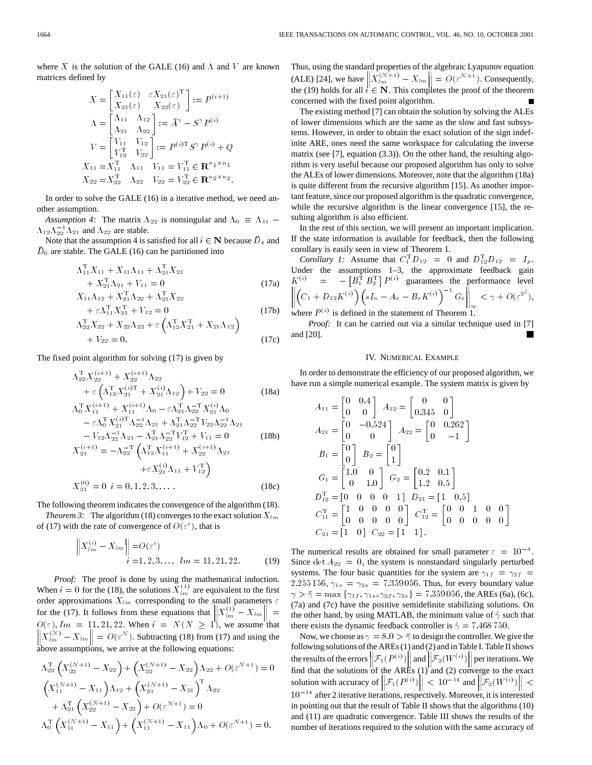where X is the solution of the GALE (16) and  $\Lambda$  and  $V$  are known matrices defined by

$$
X = \begin{bmatrix} X_{11}(\varepsilon) & \varepsilon X_{21}(\varepsilon)^{\mathrm{T}} \\ X_{21}(\varepsilon) & X_{22}(\varepsilon) \end{bmatrix} := P^{(i+1)}
$$
  
\n
$$
\Lambda = \begin{bmatrix} \Lambda_{11} & \Lambda_{12} \\ \Lambda_{21} & \Lambda_{22} \end{bmatrix} := \bar{A}^{\gamma} - S^{\gamma} P^{(i)}
$$
  
\n
$$
V = \begin{bmatrix} V_{11} & V_{12} \\ V_{12}^{\mathrm{T}} & V_{22} \end{bmatrix} := P^{(i)\mathrm{T}} S^{\gamma} P^{(i)} + Q
$$
  
\n
$$
X_{11} = X_{11}^{\mathrm{T}} & \Lambda_{11} & V_{11} = V_{11}^{\mathrm{T}} \in \mathbb{R}^{n_1 \times n_1}
$$
  
\n
$$
X_{22} = X_{22}^{\mathrm{T}} & \Lambda_{22} & V_{22} = V_{22}^{\mathrm{T}} \in \mathbb{R}^{n_2 \times n_2}.
$$

In order to solve the GALE (16) in a iterative method, we need another assumption.

*Assumption 4:* The matrix  $\Lambda_{22}$  is nonsingular and  $\Lambda_0 \equiv \Lambda_{11}$  –  $\Lambda_{12}\Lambda_{22}^{-1}\Lambda_{21}$  and  $\Lambda_{22}$  are stable.

Note that the assumption 4 is satisfied for all  $i \in \mathbb{N}$  because  $\bar{D}_4$  and  $\bar{D}_0$  are stable. The GALE (16) can be partitioned into

$$
\Lambda_{11}^{\mathrm{T}} X_{11} + X_{11} \Lambda_{11} + \Lambda_{21}^{\mathrm{T}} X_{21} \n+ X_{21}^{\mathrm{T}} \Lambda_{21} + V_{11} = 0
$$
\n(17a)  
\n
$$
X_{11} \Lambda_{12} + X_{21}^{\mathrm{T}} \Lambda_{22} + \Lambda_{21}^{\mathrm{T}} X_{22} \n+ \varepsilon \Lambda_{11}^{\mathrm{T}} X_{21}^{\mathrm{T}} + V_{12} = 0
$$
\n(17b)

$$
\Lambda_{22}^{T} X_{22} + X_{22} \Lambda_{22} + \varepsilon \left( \Lambda_{12}^{T} X_{21}^{T} + X_{21} \Lambda_{12} \right) + V_{22} = 0.
$$
 (17c)

The fixed point algorithm for solving (17) is given by

$$
\Lambda_{22}^{\mathbf{T}} X_{22}^{(i+1)} + X_{22}^{(i+1)} \Lambda_{22} \n+ \varepsilon \left( \Lambda_{12}^{\mathbf{T}} X_{21}^{(i)\mathbf{T}} + X_{21}^{(i)} \Lambda_{12} \right) + V_{22} = 0
$$
\n(18a)

$$
\Lambda_0^{\mathrm{T}} X_{11}^{(i+1)} + X_{11}^{(i+1)} \Lambda_0 - \varepsilon \Lambda_{21}^{\mathrm{T}} \Lambda_{22}^{-\mathrm{T}} X_{21}^{(i)} \Lambda_0 \n- \varepsilon \Lambda_0^{\mathrm{T}} X_{21}^{(i)\mathrm{T}} \Lambda_{22}^{-1} \Lambda_{21} + \Lambda_{21}^{\mathrm{T}} \Lambda_{22}^{-\mathrm{T}} V_{22} \Lambda_{22}^{-1} \Lambda_{21} \n- V_{12} \Lambda_{22}^{-1} \Lambda_{21} - \Lambda_{21}^{\mathrm{T}} \Lambda_{22}^{-\mathrm{T}} V_{12}^{\mathrm{T}} + V_{11} = 0 \nX_{21}^{(i+1)} = -\Lambda_{22}^{-\mathrm{T}} \left( \Lambda_{12}^{\mathrm{T}} X_{11}^{(i+1)} + X_{22}^{(i+1)} \Lambda_{21} \n+ \varepsilon X_{21}^{(i)} \Lambda_{11} + V_{12}^{\mathrm{T}} \right) \nX_{21}^{(0)} = 0 \quad i = 0, 1, 2, 3, \dots
$$
\n(18c)

The following theorem indicates the convergence of the algorithm (18).

*Theorem 3:* The algorithm (18) converges to the exact solution  $X_{lm}$ of (17) with the rate of convergence of  $O(\varepsilon^i)$ , that is

$$
\left\| X_{lm}^{(i)} - X_{lm} \right\| = O(\varepsilon^i)
$$
  
  $i = 1, 2, 3, ...$   $lm = 11, 21, 22.$  (19)

*Proof:* The proof is done by using the mathematical induction. When  $i = 0$  for the (18), the solutions  $X_{lm}^{(1)}$  are equivalent to the first order approximations  $X_{lm}$  corresponding to the small parameters  $\varepsilon$ for the (17). It follows from these equations that  $\left\| X_{lm}^{(1)} - X_{lm} \right\| =$  $O(\varepsilon)$ ,  $lm = 11, 21, 22$ . When  $i = N (N \ge 1)$ , we assume that  $X_{lm}^{(N)} - X_{lm}$  =  $O(\varepsilon^N)$ . Subtracting (18) from (17) and using the above assumptions, we arrive at the following equations:

$$
\Lambda_{22}^{T}\left(X_{22}^{(N+1)}-X_{22}\right)+\left(X_{22}^{(N+1)}-X_{22}\right)\Lambda_{22}+O(\varepsilon^{N+1})=0
$$
\n
$$
\left(X_{11}^{(N+1)}-X_{11}\right)\Lambda_{12}+\left(X_{21}^{(N+1)}-X_{21}\right)^{T}\Lambda_{22}
$$
\n
$$
+\Lambda_{21}^{T}\left(X_{22}^{(N+1)}-X_{22}\right)+O(\varepsilon^{N+1})=0
$$
\n
$$
\Lambda_{0}^{T}\left(X_{11}^{(N+1)}-X_{11}\right)+\left(X_{11}^{(N+1)}-X_{11}\right)\Lambda_{0}+O(\varepsilon^{N+1})=0.
$$

Thus, using the standard properties of the algebraic Lyapunov equation (ALE) [24], we have  $\left\| X_{lm}^{(N+1)} - X_{lm} \right\| = O(\varepsilon^{N+1})$ . Consequently, the (19) holds for all  $i \in \mathbb{N}$ . This completes the proof of the theorem concerned with the fixed point algorithm.

The existing method [7] can obtain the solution by solving the ALEs of lower dimensions which are the same as the slow and fast subsystems. However, in order to obtain the exact solution of the sign indefinite ARE, ones need the same workspace for calculating the inverse matrix (see [7], equation (3.3)). On the other hand, the resulting algorithm is very useful because our proposed algorithm has only to solve the ALEs of lower dimensions. Moreover, note that the algorithm (18a) is quite different from the recursive algorithm [15]. As another important feature, since our proposed algorithm is the quadratic convergence, while the recursive algorithm is the linear convergence [15], the resulting algorithm is also efficient.

In the rest of this section, we will present an important implication. If the state information is available for feedback, then the following corollary is easily seen in view of Theorem 1.

*Corollary 1:* Assume that  $C_1^T D_{12} = 0$  and  $D_{12}^T D_{12} = I_p$ . Under the assumptions 1–3, the approximate feedback gain  $K^{(i)} = -\left[B_1^{\mathrm{T}} B_2^{\mathrm{T}}\right] P^{(i)}$  guarantees the performance level  $\left\|C_1+D_{12}K^{(i)}\right)\left(sI_n-A_\varepsilon-B_\varepsilon K^{(i)}\right)^{-1}G_\varepsilon\right\|_\infty<\gamma+O(\varepsilon^{2^i}),$ (17b) where  $P^{(i)}$  is defined in the statement of Theorem 1.

*Proof:* It can be carried out via a similar technique used in [7] and [20].

# IV. NUMERICAL EXAMPLE

In order to demonstrate the efficiency of our proposed algorithm, we have run a simple numerical example. The system matrix is given by

$$
A_{11} = \begin{bmatrix} 0 & 0.4 \\ 0 & 0 \end{bmatrix} A_{12} = \begin{bmatrix} 0 & 0 \\ 0.345 & 0 \end{bmatrix}
$$
  
\n
$$
A_{21} = \begin{bmatrix} 0 & -0.524 \\ 0 & 0 \end{bmatrix} A_{22} = \begin{bmatrix} 0 & 0.262 \\ 0 & -1 \end{bmatrix}
$$
  
\n
$$
B_{1} = \begin{bmatrix} 0 \\ 0 \end{bmatrix} B_{2} = \begin{bmatrix} 0 \\ 1 \end{bmatrix}
$$
  
\n
$$
G_{1} = \begin{bmatrix} 1.0 & 0 \\ 0 & 1.0 \end{bmatrix} G_{2} = \begin{bmatrix} 0.2 & 0.1 \\ 1.2 & 0.5 \end{bmatrix}
$$
  
\n
$$
D_{12}^{T} = \begin{bmatrix} 0 & 0 & 0 & 0 & 1 \end{bmatrix} D_{21} = \begin{bmatrix} 1 & 0.5 \end{bmatrix}
$$
  
\n
$$
C_{11}^{T} = \begin{bmatrix} 1 & 0 & 0 & 0 & 0 \\ 0 & 0 & 0 & 0 & 0 \end{bmatrix} C_{12}^{T} = \begin{bmatrix} 0 & 0 & 1 & 0 & 0 \\ 0 & 0 & 0 & 0 & 0 \end{bmatrix}
$$
  
\n
$$
C_{21} = \begin{bmatrix} 1 & 0 \end{bmatrix} C_{22} = \begin{bmatrix} 1 & 1 \end{bmatrix}.
$$

The numerical results are obtained for small parameter  $\varepsilon = 10^{-4}$ . Since det  $A_{22} = 0$ , the system is nonstandard singularly perturbed systems. The four basic quantities for the system are  $\gamma_{1f} = \gamma_{2f}$ 2.255 156,  $\gamma_{1s} = \gamma_{2s} = 7.359 056$ . Thus, for every boundary value  $\gamma > \bar{\gamma} = \max \{ \gamma_{1f}, \gamma_{1s}, \gamma_{2f}, \gamma_{2s} \} = 7.359\,056$ , the AREs (6a), (6c), (7a) and (7c) have the positive semidefinite stabilizing solutions. On the other hand, by using MATLAB, the minimum value of  $\hat{\gamma}$  such that there exists the dynamic feedback controller is  $\hat{\gamma} = 7.468750$ .

Now, we choose as  $\gamma = 8.0 > \overline{\gamma}$  to design the controller. We give the following solutions of the AREs (1) and (2) and in Table I. Table II shows the results of the errors  $\big\|\mathcal{F}_1(P^{(i)})\big\|$  and  $\big\|\mathcal{F}_2(W^{(i)})\big\|$  per iterations. We find that the solutions of the AREs (1) and (2) converge to the exact solution with accuracy of  $\left\| \mathcal{F}_1(P^{(i)}) \right\|$  <  $10^{-14}$  and  $\left\| \mathcal{F}_2(W^{(i)}) \right\|$  <  $10^{-14}$  after 2 iterative iterations, respectively. Moreover, it is interested in pointing out that the result of Table II shows that the algorithms (10) and (11) are quadratic convergence. Table III shows the results of the number of iterations required to the solution with the same accuracy of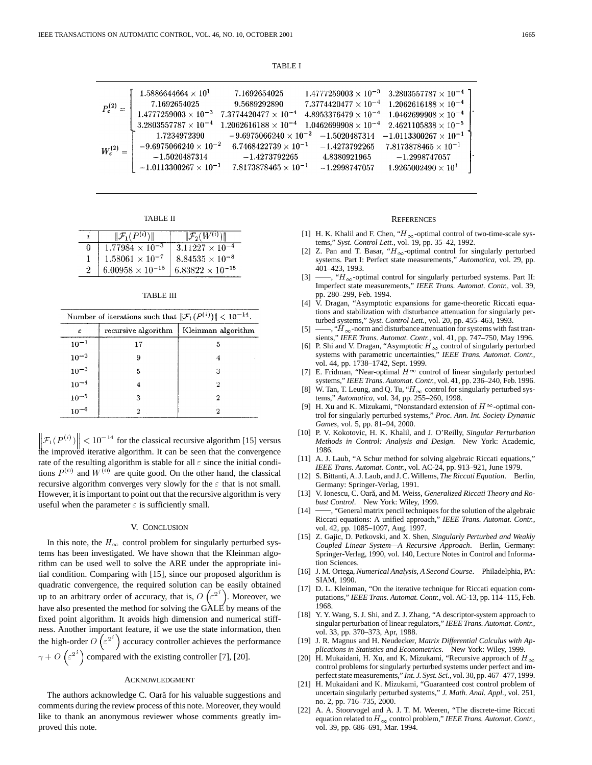TABLE I

| $P_{\epsilon}^{(2)}=$  | $1.5886644664 \times 10^{1}$<br>7.1692654025<br>$1.4777259003\times10^{-3}$<br>$3.2803557787\times10^{-4}$ | 7.1692654025<br>9.5689292890<br>$7.3774420477 \times 10^{-4}$<br>$1.2062616188 \times 10^{-4}$ |                                                                                                      | $1.4777259003 \times 10^{-3}$ 3.2803557787 $\times 10^{-4}$ ]<br>$7.3774420477\times10^{-4}$ 1.2062616188 $\times$ 10 <sup>-4</sup><br>$4.8953376479 \times 10^{-4}$ 1.0462699908 $\times 10^{-4}$<br>$1.0462699908 \times 10^{-4}$ $2.4621105838 \times 10^{-5}$ |  |
|------------------------|------------------------------------------------------------------------------------------------------------|------------------------------------------------------------------------------------------------|------------------------------------------------------------------------------------------------------|-------------------------------------------------------------------------------------------------------------------------------------------------------------------------------------------------------------------------------------------------------------------|--|
| $W_{\epsilon}^{(2)} =$ | 1.7234972390<br>$-9.6975066240\times 10^{-2}$<br>$-1.5020487314$<br>$-1.0113300267\times 10^{-1}$          | $6.7468422739 \times 10^{-1}$<br>$-1.4273792265$<br>$7.8173878465 \times 10^{-1}$              | $-9.6975066240 \times 10^{-2}$ $-1.5020487314$<br>$-1.4273792265$<br>4.8380921965<br>$-1.2998747057$ | $-1.0113300267\times10^{-1}$<br>$7.8173878465\times 10^{-1}$<br>$-1.2998747057$<br>$1.9265002490 \times 10^{1}$                                                                                                                                                   |  |

TABLE II

|   | $\ \mathcal{F}_1(\overline{P^{(i)}\ })\ $ | $\ \mathcal{F}_2(W^{(i)})\ $ |
|---|-------------------------------------------|------------------------------|
| 0 | $1.77984 \times 10^{-3}$                  | $3.11227 \times 10^{-4}$     |
|   | $1.58061\times10^{-7}$                    | $8.84535 \times 10^{-8}$     |
|   | $6.00958\times10^{-15}$                   | $6.83822 \times 10^{-15}$    |

TABLE III

| Number of iterations such that $\ \mathcal{F}_1(P^{(i)})\  < 10^{-14}$ . |                     |                    |  |  |  |
|--------------------------------------------------------------------------|---------------------|--------------------|--|--|--|
| ε                                                                        | recursive algorithm | Kleinman algorithm |  |  |  |
| $10^{-1}$                                                                | 17                  | 5                  |  |  |  |
| $10^{-2}$                                                                | 9                   | 4                  |  |  |  |
| $10^{-3}$                                                                | 5                   | З                  |  |  |  |
| $10^{-4}$                                                                | 4                   | 2                  |  |  |  |
| $10^{-5}$<br>$10^{-6}$                                                   | з                   | 2                  |  |  |  |
|                                                                          | 2                   | 2                  |  |  |  |

 $\mathcal{F}_1(P^{(i)}) \leq 10^{-14}$  for the classical recursive algorithm [15] versus the improved iterative algorithm. It can be seen that the convergence rate of the resulting algorithm is stable for all  $\varepsilon$  since the initial conditions  $P^{(0)}$  and  $W^{(0)}$  are quite good. On the other hand, the classical recursive algorithm converges very slowly for the  $\varepsilon$  that is not small. However, it is important to point out that the recursive algorithm is very useful when the parameter  $\varepsilon$  is sufficiently small.

# V. CONCLUSION

In this note, the  $H_{\infty}$  control problem for singularly perturbed systems has been investigated. We have shown that the Kleinman algorithm can be used well to solve the ARE under the appropriate initial condition. Comparing with [15], since our proposed algorithm is quadratic convergence, the required solution can be easily obtained up to an arbitrary order of accuracy, that is,  $O\left(\epsilon^{2^i}\right)$ . Moreover, we have also presented the method for solving the GALE by means of the fixed point algorithm. It avoids high dimension and numerical stiffness. Another important feature, if we use the state information, then the high-order  $O\left(\varepsilon^{2^{\alpha}}\right)$  accuracy controller achieves the performance  $\gamma + O\left(\epsilon^{2^i}\right)$  compared with the existing controller [7], [20].

#### ACKNOWLEDGMENT

The authors acknowledge C. Oară for his valuable suggestions and comments during the review process of this note. Moreover, they would like to thank an anonymous reviewer whose comments greatly improved this note.

#### **REFERENCES**

- [1] H. K. Khalil and F. Chen, " $H_{\infty}$ -optimal control of two-time-scale systems," *Syst. Control Lett.*, vol. 19, pp. 35–42, 1992.
- [2] Z. Pan and T. Basar, " $H_{\infty}$ -optimal control for singularly perturbed systems. Part I: Perfect state measurements," *Automatica*, vol. 29, pp. 401–423, 1993.
- [3]  $\longrightarrow$ , "H<sub>∞</sub>-optimal control for singularly perturbed systems. Part II: Imperfect state measurements," *IEEE Trans. Automat. Contr.*, vol. 39, pp. 280–299, Feb. 1994.
- [4] V. Dragan, "Asymptotic expansions for game-theoretic Riccati equations and stabilization with disturbance attenuation for singularly perturbed systems," *Syst. Control Lett.*, vol. 20, pp. 455–463, 1993.
- $[5]$   $\longrightarrow$ , " $H_{\infty}$ -norm and disturbance attenuation for systems with fast transients," *IEEE Trans. Automat. Contr.*, vol. 41, pp. 747–750, May 1996.
- [6] P. Shi and V. Dragan, "Asymptotic  $H_{\infty}$  control of singularly perturbed systems with parametric uncertainties," *IEEE Trans. Automat. Contr.*, vol. 44, pp. 1738–1742, Sept. 1999.
- [7] E. Fridman, "Near-optimal  $H^{\infty}$  control of linear singularly perturbed systems," *IEEE Trans. Automat. Contr.*, vol. 41, pp. 236–240, Feb. 1996.
- [8] W. Tan, T. Leung, and Q. Tu, " $H_{\infty}$  control for singularly perturbed systems," *Automatica*, vol. 34, pp. 255–260, 1998.
- [9] H. Xu and K. Mizukami, "Nonstandard extension of  $H^{\infty}$ -optimal control for singularly perturbed systems," *Proc. Ann. Int. Society Dynamic Games*, vol. 5, pp. 81–94, 2000.
- [10] P. V. Kokotovic, H. K. Khalil, and J. O'Reilly, *Singular Perturbation Methods in Control: Analysis and Design*. New York: Academic, 1986.
- [11] A. J. Laub, "A Schur method for solving algebraic Riccati equations," *IEEE Trans. Automat. Contr.*, vol. AC-24, pp. 913–921, June 1979.
- [12] S. Bittanti, A. J. Laub, and J. C. Willems, *The Riccati Equation*. Berlin, Germany: Springer-Verlag, 1991.
- [13] V. Ionescu, C. Oară, and M. Weiss, Generalized Riccati Theory and Ro*bust Control*. New York: Wiley, 1999.
- [14] —, "General matrix pencil techniques for the solution of the algebraic Riccati equations: A unified approach," *IEEE Trans. Automat. Contr.*, vol. 42, pp. 1085–1097, Aug. 1997.
- [15] Z. Gajic, D. Petkovski, and X. Shen, *Singularly Perturbed and Weakly Coupled Linear System—A Recursive Approach*. Berlin, Germany: Springer-Verlag, 1990, vol. 140, Lecture Notes in Control and Information Sciences.
- [16] J. M. Ortega, *Numerical Analysis, A Second Course*. Philadelphia, PA: SIAM, 1990.
- [17] D. L. Kleinman, "On the iterative technique for Riccati equation computations," *IEEE Trans. Automat. Contr.*, vol. AC-13, pp. 114–115, Feb. 1968.
- [18] Y. Y. Wang, S. J. Shi, and Z. J. Zhang, "A descriptor-system approach to singular perturbation of linear regulators," *IEEE Trans. Automat. Contr.*, vol. 33, pp. 370–373, Apr, 1988.
- [19] J. R. Magnus and H. Neudecker, *Matrix Differential Calculus with Applications in Statistics and Econometrics*. New York: Wiley, 1999.
- [20] H. Mukaidani, H. Xu, and K. Mizukami, "Recursive approach of  $H_{\infty}$ control problems for singularly perturbed systems under perfect and imperfect state measurements," *Int. J. Syst. Sci.*, vol. 30, pp. 467–477, 1999.
- [21] H. Mukaidani and K. Mizukami, "Guaranteed cost control problem of uncertain singularly perturbed systems," *J. Math. Anal. Appl.*, vol. 251, no. 2, pp. 716–735, 2000.
- [22] A. A. Stoorvogel and A. J. T. M. Weeren, "The discrete-time Riccati equation related to  $H_{\infty}$  control problem," *IEEE Trans. Automat. Contr.*, vol. 39, pp. 686–691, Mar. 1994.